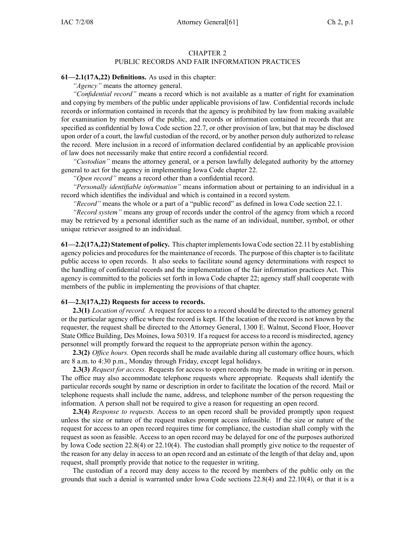#### CHAPTER 2 PUBLIC RECORDS AND FAIR INFORMATION PRACTICES

#### **61—2.1(17A,22) Definitions.** As used in this chapter:

*"Agency"* means the attorney general.

*"Confidential record"* means <sup>a</sup> record which is not available as <sup>a</sup> matter of right for examination and copying by members of the public under applicable provisions of law. Confidential records include records or information contained in records that the agency is prohibited by law from making available for examination by members of the public, and records or information contained in records that are specified as confidential by Iowa Code section 22.7, or other provision of law, but that may be disclosed upon order of <sup>a</sup> court, the lawful custodian of the record, or by another person duly authorized to release the record. Mere inclusion in <sup>a</sup> record of information declared confidential by an applicable provision of law does not necessarily make that entire record <sup>a</sup> confidential record.

*"Custodian"* means the attorney general, or <sup>a</sup> person lawfully delegated authority by the attorney general to act for the agency in implementing Iowa Code chapter 22.

*"Open record"* means <sup>a</sup> record other than <sup>a</sup> confidential record.

*"Personally identifiable information"* means information about or pertaining to an individual in <sup>a</sup> record which identifies the individual and which is contained in <sup>a</sup> record system.

*"Record"* means the whole or <sup>a</sup> par<sup>t</sup> of <sup>a</sup> "public record" as defined in Iowa Code section 22.1.

*"Record system"* means any group of records under the control of the agency from which <sup>a</sup> record may be retrieved by <sup>a</sup> personal identifier such as the name of an individual, number, symbol, or other unique retriever assigned to an individual.

**61—2.2(17A,22) Statement of policy.** This chapter implementsIowa Code section 22.11 by establishing agency policies and procedures for the maintenance of records. The purpose of this chapter is to facilitate public access to open records. It also seeks to facilitate sound agency determinations with respec<sup>t</sup> to the handling of confidential records and the implementation of the fair information practices Act. This agency is committed to the policies set forth in Iowa Code chapter 22; agency staff shall cooperate with members of the public in implementing the provisions of that chapter.

#### **61—2.3(17A,22) Requests for access to records.**

**2.3(1)** *Location of record.* A reques<sup>t</sup> for access to <sup>a</sup> record should be directed to the attorney general or the particular agency office where the record is kept. If the location of the record is not known by the requester, the reques<sup>t</sup> shall be directed to the Attorney General, 1300 E. Walnut, Second Floor, Hoover State Office Building, Des Moines, Iowa 50319. If <sup>a</sup> reques<sup>t</sup> for access to <sup>a</sup> record is misdirected, agency personnel will promptly forward the reques<sup>t</sup> to the appropriate person within the agency.

**2.3(2)** *Office hours.* Open records shall be made available during all customary office hours, which are 8 a.m. to 4:30 p.m., Monday through Friday, excep<sup>t</sup> legal holidays.

**2.3(3)** *Request for access.* Requests for access to open records may be made in writing or in person. The office may also accommodate telephone requests where appropriate. Requests shall identify the particular records sought by name or description in order to facilitate the location of the record. Mail or telephone requests shall include the name, address, and telephone number of the person requesting the information. A person shall not be required to give <sup>a</sup> reason for requesting an open record.

**2.3(4)** *Response to requests.* Access to an open record shall be provided promptly upon reques<sup>t</sup> unless the size or nature of the reques<sup>t</sup> makes promp<sup>t</sup> access infeasible. If the size or nature of the reques<sup>t</sup> for access to an open record requires time for compliance, the custodian shall comply with the reques<sup>t</sup> as soon as feasible. Access to an open record may be delayed for one of the purposes authorized by Iowa Code section 22.8(4) or 22.10(4). The custodian shall promptly give notice to the requester of the reason for any delay in access to an open record and an estimate of the length of that delay and, upon request, shall promptly provide that notice to the requester in writing.

The custodian of <sup>a</sup> record may deny access to the record by members of the public only on the grounds that such <sup>a</sup> denial is warranted under Iowa Code sections 22.8(4) and 22.10(4), or that it is <sup>a</sup>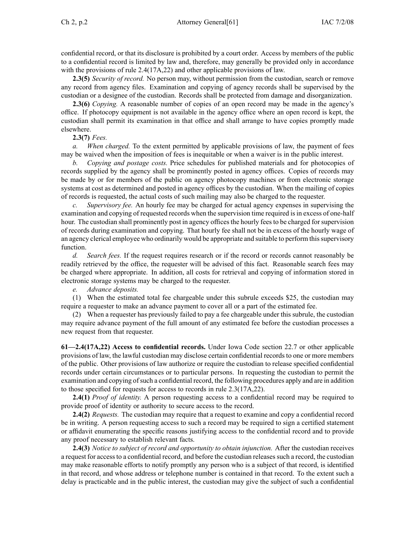confidential record, or that its disclosure is prohibited by <sup>a</sup> court order. Access by members of the public to <sup>a</sup> confidential record is limited by law and, therefore, may generally be provided only in accordance with the provisions of rule 2.4(17A, 22) and other applicable provisions of law.

**2.3(5)** *Security of record.* No person may, without permission from the custodian, search or remove any record from agency files. Examination and copying of agency records shall be supervised by the custodian or <sup>a</sup> designee of the custodian. Records shall be protected from damage and disorganization.

**2.3(6)** *Copying.* A reasonable number of copies of an open record may be made in the agency's office. If photocopy equipment is not available in the agency office where an open record is kept, the custodian shall permit its examination in that office and shall arrange to have copies promptly made elsewhere.

**2.3(7)** *Fees.*

*a. When charged.* To the extent permitted by applicable provisions of law, the paymen<sup>t</sup> of fees may be waived when the imposition of fees is inequitable or when <sup>a</sup> waiver is in the public interest.

*b. Copying and postage costs.* Price schedules for published materials and for photocopies of records supplied by the agency shall be prominently posted in agency offices. Copies of records may be made by or for members of the public on agency photocopy machines or from electronic storage systems at cost as determined and posted in agency offices by the custodian. When the mailing of copies of records is requested, the actual costs of such mailing may also be charged to the requester.

*Supervisory fee.* An hourly fee may be charged for actual agency expenses in supervising the examination and copying of requested records when the supervision time required is in excess of one-half hour. The custodian shall prominently post in agency offices the hourly fees to be charged for supervision of records during examination and copying. That hourly fee shall not be in excess of the hourly wage of an agency clerical employee who ordinarily would be appropriate and suitable to perform thissupervisory function.

*d. Search fees.* If the reques<sup>t</sup> requires research or if the record or records cannot reasonably be readily retrieved by the office, the requester will be advised of this fact. Reasonable search fees may be charged where appropriate. In addition, all costs for retrieval and copying of information stored in electronic storage systems may be charged to the requester.

*e. Advance deposits.*

(1) When the estimated total fee chargeable under this subrule exceeds \$25, the custodian may require <sup>a</sup> requester to make an advance paymen<sup>t</sup> to cover all or <sup>a</sup> par<sup>t</sup> of the estimated fee.

(2) When <sup>a</sup> requester has previously failed to pay <sup>a</sup> fee chargeable under this subrule, the custodian may require advance paymen<sup>t</sup> of the full amount of any estimated fee before the custodian processes <sup>a</sup> new reques<sup>t</sup> from that requester.

**61—2.4(17A,22) Access to confidential records.** Under Iowa Code section 22.7 or other applicable provisions of law, the lawful custodian may disclose certain confidential records to one or more members of the public. Other provisions of law authorize or require the custodian to release specified confidential records under certain circumstances or to particular persons. In requesting the custodian to permit the examination and copying ofsuch <sup>a</sup> confidential record, the following procedures apply and are in addition to those specified for requests for access to records in rule 2.3(17A,22).

**2.4(1)** *Proof of identity.* A person requesting access to <sup>a</sup> confidential record may be required to provide proof of identity or authority to secure access to the record.

**2.4(2)** *Requests.* The custodian may require that <sup>a</sup> reques<sup>t</sup> to examine and copy <sup>a</sup> confidential record be in writing. A person requesting access to such <sup>a</sup> record may be required to sign <sup>a</sup> certified statement or affidavit enumerating the specific reasons justifying access to the confidential record and to provide any proof necessary to establish relevant facts.

**2.4(3)** *Notice to subject of record and opportunity to obtain injunction.* After the custodian receives <sup>a</sup> reques<sup>t</sup> for accessto <sup>a</sup> confidential record, and before the custodian releasessuch <sup>a</sup> record, the custodian may make reasonable efforts to notify promptly any person who is <sup>a</sup> subject of that record, is identified in that record, and whose address or telephone number is contained in that record. To the extent such <sup>a</sup> delay is practicable and in the public interest, the custodian may give the subject of such <sup>a</sup> confidential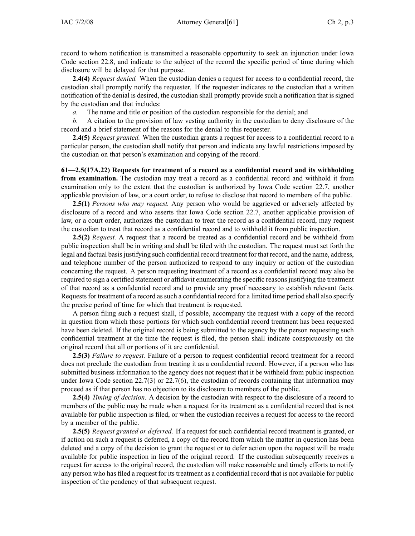record to whom notification is transmitted <sup>a</sup> reasonable opportunity to seek an injunction under Iowa Code section 22.8, and indicate to the subject of the record the specific period of time during which disclosure will be delayed for that purpose.

**2.4(4)** *Request denied.* When the custodian denies <sup>a</sup> reques<sup>t</sup> for access to <sup>a</sup> confidential record, the custodian shall promptly notify the requester. If the requester indicates to the custodian that <sup>a</sup> written notification of the denial is desired, the custodian shall promptly provide such <sup>a</sup> notification that is signed by the custodian and that includes:

*a.* The name and title or position of the custodian responsible for the denial; and

*b.* A citation to the provision of law vesting authority in the custodian to deny disclosure of the record and <sup>a</sup> brief statement of the reasons for the denial to this requester.

**2.4(5)** *Request granted.* When the custodian grants <sup>a</sup> reques<sup>t</sup> for access to <sup>a</sup> confidential record to <sup>a</sup> particular person, the custodian shall notify that person and indicate any lawful restrictions imposed by the custodian on that person's examination and copying of the record.

**61—2.5(17A,22) Requests for treatment of <sup>a</sup> record as <sup>a</sup> confidential record and its withholding from examination.** The custodian may treat <sup>a</sup> record as <sup>a</sup> confidential record and withhold it from examination only to the extent that the custodian is authorized by Iowa Code section 22.7, another applicable provision of law, or <sup>a</sup> court order, to refuse to disclose that record to members of the public.

**2.5(1)** *Persons who may request.* Any person who would be aggrieved or adversely affected by disclosure of <sup>a</sup> record and who asserts that Iowa Code section 22.7, another applicable provision of law, or <sup>a</sup> court order, authorizes the custodian to treat the record as <sup>a</sup> confidential record, may reques<sup>t</sup> the custodian to treat that record as <sup>a</sup> confidential record and to withhold it from public inspection.

**2.5(2)** *Request.* A reques<sup>t</sup> that <sup>a</sup> record be treated as <sup>a</sup> confidential record and be withheld from public inspection shall be in writing and shall be filed with the custodian. The reques<sup>t</sup> must set forth the legal and factual basis justifying such confidential record treatment for that record, and the name, address, and telephone number of the person authorized to respond to any inquiry or action of the custodian concerning the request. A person requesting treatment of <sup>a</sup> record as <sup>a</sup> confidential record may also be required to sign a certified statement or affidavit enumerating the specific reasons justifying the treatment of that record as <sup>a</sup> confidential record and to provide any proof necessary to establish relevant facts. Requests for treatment of a record as such a confidential record for a limited time period shall also specify the precise period of time for which that treatment is requested.

A person filing such <sup>a</sup> reques<sup>t</sup> shall, if possible, accompany the reques<sup>t</sup> with <sup>a</sup> copy of the record in question from which those portions for which such confidential record treatment has been requested have been deleted. If the original record is being submitted to the agency by the person requesting such confidential treatment at the time the reques<sup>t</sup> is filed, the person shall indicate conspicuously on the original record that all or portions of it are confidential.

**2.5(3)** *Failure to request.* Failure of <sup>a</sup> person to reques<sup>t</sup> confidential record treatment for <sup>a</sup> record does not preclude the custodian from treating it as <sup>a</sup> confidential record. However, if <sup>a</sup> person who has submitted business information to the agency does not reques<sup>t</sup> that it be withheld from public inspection under Iowa Code section 22.7(3) or 22.7(6), the custodian of records containing that information may proceed as if that person has no objection to its disclosure to members of the public.

**2.5(4)** *Timing of decision.* A decision by the custodian with respec<sup>t</sup> to the disclosure of <sup>a</sup> record to members of the public may be made when <sup>a</sup> reques<sup>t</sup> for its treatment as <sup>a</sup> confidential record that is not available for public inspection is filed, or when the custodian receives <sup>a</sup> reques<sup>t</sup> for access to the record by <sup>a</sup> member of the public.

**2.5(5)** *Request granted or deferred.* If <sup>a</sup> reques<sup>t</sup> for such confidential record treatment is granted, or if action on such <sup>a</sup> reques<sup>t</sup> is deferred, <sup>a</sup> copy of the record from which the matter in question has been deleted and <sup>a</sup> copy of the decision to gran<sup>t</sup> the reques<sup>t</sup> or to defer action upon the reques<sup>t</sup> will be made available for public inspection in lieu of the original record. If the custodian subsequently receives <sup>a</sup> reques<sup>t</sup> for access to the original record, the custodian will make reasonable and timely efforts to notify any person who has filed <sup>a</sup> reques<sup>t</sup> for its treatment as <sup>a</sup> confidential record that is not available for public inspection of the pendency of that subsequent request.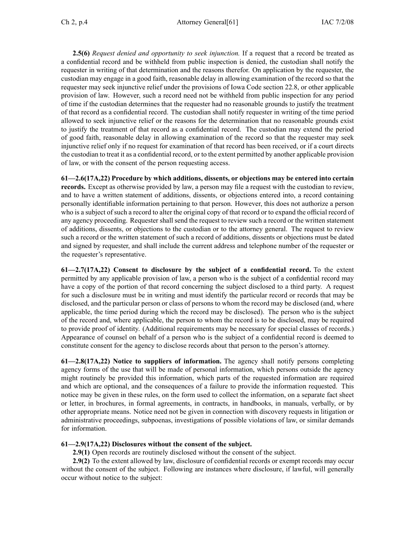**2.5(6)** *Request denied and opportunity to seek injunction.* If <sup>a</sup> reques<sup>t</sup> that <sup>a</sup> record be treated as <sup>a</sup> confidential record and be withheld from public inspection is denied, the custodian shall notify the requester in writing of that determination and the reasons therefor. On application by the requester, the custodian may engage in <sup>a</sup> good faith, reasonable delay in allowing examination of the record so that the requester may seek injunctive relief under the provisions of Iowa Code section 22.8, or other applicable provision of law. However, such <sup>a</sup> record need not be withheld from public inspection for any period of time if the custodian determines that the requester had no reasonable grounds to justify the treatment of that record as <sup>a</sup> confidential record. The custodian shall notify requester in writing of the time period allowed to seek injunctive relief or the reasons for the determination that no reasonable grounds exist to justify the treatment of that record as <sup>a</sup> confidential record. The custodian may extend the period of good faith, reasonable delay in allowing examination of the record so that the requester may seek injunctive relief only if no reques<sup>t</sup> for examination of that record has been received, or if <sup>a</sup> court directs the custodian to treat it as <sup>a</sup> confidential record, or to the extent permitted by another applicable provision of law, or with the consent of the person requesting access.

**61—2.6(17A,22) Procedure by which additions, dissents, or objections may be entered into certain records.** Except as otherwise provided by law, <sup>a</sup> person may file <sup>a</sup> reques<sup>t</sup> with the custodian to review, and to have <sup>a</sup> written statement of additions, dissents, or objections entered into, <sup>a</sup> record containing personally identifiable information pertaining to that person. However, this does not authorize <sup>a</sup> person who is <sup>a</sup> subject of such <sup>a</sup> record to alter the original copy of that record or to expand the official record of any agency proceeding. Requester shall send the reques<sup>t</sup> to review such <sup>a</sup> record or the written statement of additions, dissents, or objections to the custodian or to the attorney general. The reques<sup>t</sup> to review such <sup>a</sup> record or the written statement of such <sup>a</sup> record of additions, dissents or objections must be dated and signed by requester, and shall include the current address and telephone number of the requester or the requester's representative.

**61—2.7(17A,22) Consent to disclosure by the subject of <sup>a</sup> confidential record.** To the extent permitted by any applicable provision of law, <sup>a</sup> person who is the subject of <sup>a</sup> confidential record may have <sup>a</sup> copy of the portion of that record concerning the subject disclosed to <sup>a</sup> third party. A reques<sup>t</sup> for such <sup>a</sup> disclosure must be in writing and must identify the particular record or records that may be disclosed, and the particular person or class of persons to whom the record may be disclosed (and, where applicable, the time period during which the record may be disclosed). The person who is the subject of the record and, where applicable, the person to whom the record is to be disclosed, may be required to provide proof of identity. (Additional requirements may be necessary for special classes of records.) Appearance of counsel on behalf of <sup>a</sup> person who is the subject of <sup>a</sup> confidential record is deemed to constitute consent for the agency to disclose records about that person to the person's attorney.

**61—2.8(17A,22) Notice to suppliers of information.** The agency shall notify persons completing agency forms of the use that will be made of personal information, which persons outside the agency might routinely be provided this information, which parts of the requested information are required and which are optional, and the consequences of <sup>a</sup> failure to provide the information requested. This notice may be given in these rules, on the form used to collect the information, on <sup>a</sup> separate fact sheet or letter, in brochures, in formal agreements, in contracts, in handbooks, in manuals, verbally, or by other appropriate means. Notice need not be given in connection with discovery requests in litigation or administrative proceedings, subpoenas, investigations of possible violations of law, or similar demands for information.

## **61—2.9(17A,22) Disclosures without the consent of the subject.**

**2.9(1)** Open records are routinely disclosed without the consent of the subject.

**2.9(2)** To the extent allowed by law, disclosure of confidential records or exemp<sup>t</sup> records may occur without the consent of the subject. Following are instances where disclosure, if lawful, will generally occur without notice to the subject: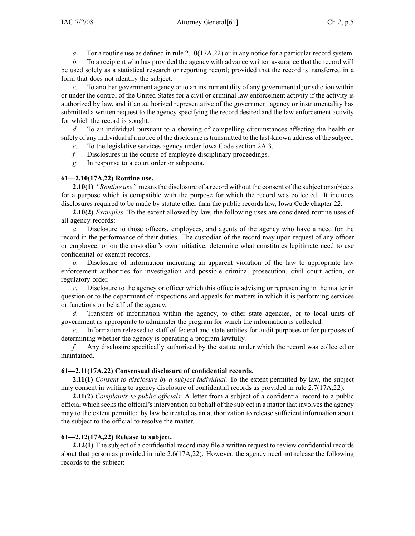*a.* For <sup>a</sup> routine use as defined in rule 2.10(17A,22) or in any notice for <sup>a</sup> particular record system.

*b.* To <sup>a</sup> recipient who has provided the agency with advance written assurance that the record will be used solely as <sup>a</sup> statistical research or reporting record; provided that the record is transferred in <sup>a</sup> form that does not identify the subject.

*c.* To another governmen<sup>t</sup> agency or to an instrumentality of any governmental jurisdiction within or under the control of the United States for <sup>a</sup> civil or criminal law enforcement activity if the activity is authorized by law, and if an authorized representative of the governmen<sup>t</sup> agency or instrumentality has submitted <sup>a</sup> written reques<sup>t</sup> to the agency specifying the record desired and the law enforcement activity for which the record is sought.

*d.* To an individual pursuan<sup>t</sup> to <sup>a</sup> showing of compelling circumstances affecting the health or safety of any individual if <sup>a</sup> notice of the disclosure istransmitted to the last-known address of the subject.

*e.* To the legislative services agency under Iowa Code section 2A.3.

*f.* Disclosures in the course of employee disciplinary proceedings.

*g.* In response to <sup>a</sup> court order or subpoena.

## **61—2.10(17A,22) Routine use.**

**2.10(1)** *"Routine use"* means the disclosure of a record without the consent of the subject or subjects for <sup>a</sup> purpose which is compatible with the purpose for which the record was collected. It includes disclosures required to be made by statute other than the public records law, Iowa Code chapter 22.

**2.10(2)** *Examples.* To the extent allowed by law, the following uses are considered routine uses of all agency records:

*a.* Disclosure to those officers, employees, and agents of the agency who have <sup>a</sup> need for the record in the performance of their duties. The custodian of the record may upon reques<sup>t</sup> of any officer or employee, or on the custodian's own initiative, determine what constitutes legitimate need to use confidential or exemp<sup>t</sup> records.

*b.* Disclosure of information indicating an apparen<sup>t</sup> violation of the law to appropriate law enforcement authorities for investigation and possible criminal prosecution, civil court action, or regulatory order.

*c.* Disclosure to the agency or officer which this office is advising or representing in the matter in question or to the department of inspections and appeals for matters in which it is performing services or functions on behalf of the agency.

d. Transfers of information within the agency, to other state agencies, or to local units of governmen<sup>t</sup> as appropriate to administer the program for which the information is collected.

*e.* Information released to staff of federal and state entities for audit purposes or for purposes of determining whether the agency is operating <sup>a</sup> program lawfully.

*f.* Any disclosure specifically authorized by the statute under which the record was collected or maintained.

## **61—2.11(17A,22) Consensual disclosure of confidential records.**

**2.11(1)** *Consent to disclosure by <sup>a</sup> subject individual.* To the extent permitted by law, the subject may consent in writing to agency disclosure of confidential records as provided in rule 2.7(17A,22).

**2.11(2)** *Complaints to public officials.* A letter from <sup>a</sup> subject of <sup>a</sup> confidential record to <sup>a</sup> public official which seeksthe official'sintervention on behalf of the subject in <sup>a</sup> matter that involvesthe agency may to the extent permitted by law be treated as an authorization to release sufficient information about the subject to the official to resolve the matter.

# **61—2.12(17A,22) Release to subject.**

**2.12(1)** The subject of <sup>a</sup> confidential record may file <sup>a</sup> written reques<sup>t</sup> to review confidential records about that person as provided in rule 2.6(17A,22). However, the agency need not release the following records to the subject: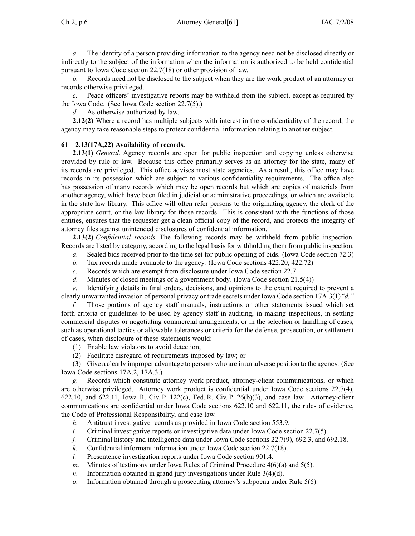Ch 2, p.6 Attorney General [61] IAC 7/2/08

*a.* The identity of <sup>a</sup> person providing information to the agency need not be disclosed directly or indirectly to the subject of the information when the information is authorized to be held confidential pursuan<sup>t</sup> to Iowa Code section 22.7(18) or other provision of law.

*b.* Records need not be disclosed to the subject when they are the work product of an attorney or records otherwise privileged.

*c.* Peace officers' investigative reports may be withheld from the subject, except as required by the Iowa Code. (See Iowa Code section 22.7(5).)

*d.* As otherwise authorized by law.

**2.12(2)** Where <sup>a</sup> record has multiple subjects with interest in the confidentiality of the record, the agency may take reasonable steps to protect confidential information relating to another subject.

## **61—2.13(17A,22) Availability of records.**

**2.13(1)** *General.* Agency records are open for public inspection and copying unless otherwise provided by rule or law. Because this office primarily serves as an attorney for the state, many of its records are privileged. This office advises most state agencies. As <sup>a</sup> result, this office may have records in its possession which are subject to various confidentiality requirements. The office also has possession of many records which may be open records but which are copies of materials from another agency, which have been filed in judicial or administrative proceedings, or which are available in the state law library. This office will often refer persons to the originating agency, the clerk of the appropriate court, or the law library for those records. This is consistent with the functions of those entities, ensures that the requester ge<sup>t</sup> <sup>a</sup> clean official copy of the record, and protects the integrity of attorney files against unintended disclosures of confidential information.

**2.13(2)** *Confidential records.* The following records may be withheld from public inspection. Records are listed by category, according to the legal basis for withholding them from public inspection.

- *a.* Sealed bids received prior to the time set for public opening of bids. (Iowa Code section 72.3)
- *b.* Tax records made available to the agency. (Iowa Code sections 422.20, 422.72)
- *c.* Records which are exemp<sup>t</sup> from disclosure under Iowa Code section 22.7.
- *d.* Minutes of closed meetings of <sup>a</sup> governmen<sup>t</sup> body. (Iowa Code section 21.5(4))

*e.* Identifying details in final orders, decisions, and opinions to the extent required to preven<sup>t</sup> <sup>a</sup> clearly unwarranted invasion of personal privacy or trade secrets under Iowa Code section 17A.3(1)*"d."*

*f.* Those portions of agency staff manuals, instructions or other statements issued which set forth criteria or guidelines to be used by agency staff in auditing, in making inspections, in settling commercial disputes or negotiating commercial arrangements, or in the selection or handling of cases, such as operational tactics or allowable tolerances or criteria for the defense, prosecution, or settlement of cases, when disclosure of these statements would:

- (1) Enable law violators to avoid detection;
- (2) Facilitate disregard of requirements imposed by law; or

(3) Give <sup>a</sup> clearly improper advantage to persons who are in an adverse position to the agency. (See Iowa Code sections 17A.2, 17A.3.)

*g.* Records which constitute attorney work product, attorney-client communications, or which are otherwise privileged. Attorney work product is confidential under Iowa Code sections 22.7(4), 622.10, and 622.11, Iowa R. Civ. P. 122(c), Fed. R. Civ. P. 26(b)(3), and case law. Attorney-client communications are confidential under Iowa Code sections 622.10 and 622.11, the rules of evidence, the Code of Professional Responsibility, and case law.

- *h.* Antitrust investigative records as provided in Iowa Code section 553.9.
- *i.* Criminal investigative reports or investigative data under Iowa Code section 22.7(5).
- *j.* Criminal history and intelligence data under Iowa Code sections 22.7(9), 692.3, and 692.18.
- *k.* Confidential informant information under Iowa Code section 22.7(18).
- *l.* Presentence investigation reports under Iowa Code section 901.4.
- *m.* Minutes of testimony under Iowa Rules of Criminal Procedure 4(6)(a) and 5(5).
- *n.* Information obtained in grand jury investigations under Rule 3(4)(d).
- *o.* Information obtained through <sup>a</sup> prosecuting attorney's subpoena under Rule 5(6).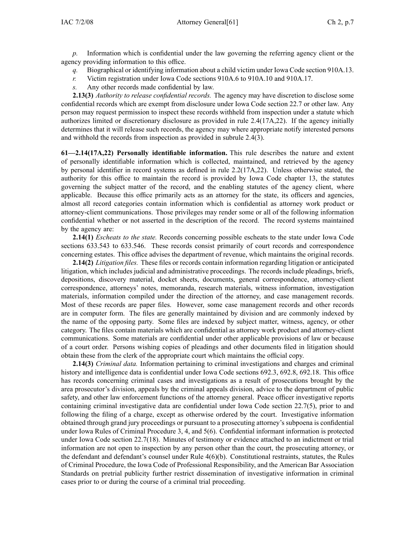*p.* Information which is confidential under the law governing the referring agency client or the agency providing information to this office.

- *q.* Biographical or identifying information about <sup>a</sup> child victim under Iowa Code section 910A.13.
- *r.* Victim registration under Iowa Code sections 910A.6 to 910A.10 and 910A.17.
- *s.* Any other records made confidential by law.

**2.13(3)** *Authority to release confidential records.* The agency may have discretion to disclose some confidential records which are exemp<sup>t</sup> from disclosure under Iowa Code section 22.7 or other law. Any person may reques<sup>t</sup> permission to inspect these records withheld from inspection under <sup>a</sup> statute which authorizes limited or discretionary disclosure as provided in rule 2.4(17A,22). If the agency initially determines that it will release such records, the agency may where appropriate notify interested persons and withhold the records from inspection as provided in subrule 2.4(3).

**61—2.14(17A,22) Personally identifiable information.** This rule describes the nature and extent of personally identifiable information which is collected, maintained, and retrieved by the agency by personal identifier in record systems as defined in rule 2.2(17A,22). Unless otherwise stated, the authority for this office to maintain the record is provided by Iowa Code chapter 13, the statutes governing the subject matter of the record, and the enabling statutes of the agency client, where applicable. Because this office primarily acts as an attorney for the state, its officers and agencies, almost all record categories contain information which is confidential as attorney work product or attorney-client communications. Those privileges may render some or all of the following information confidential whether or not asserted in the description of the record. The record systems maintained by the agency are:

**2.14(1)** *Escheats to the state.* Records concerning possible escheats to the state under Iowa Code sections 633.543 to 633.546. These records consist primarily of court records and correspondence concerning estates. This office advises the department of revenue, which maintains the original records.

**2.14(2)** *Litigation files.* These files or records contain information regarding litigation or anticipated litigation, which includes judicial and administrative proceedings. The records include pleadings, briefs, depositions, discovery material, docket sheets, documents, general correspondence, attorney-client correspondence, attorneys' notes, memoranda, research materials, witness information, investigation materials, information compiled under the direction of the attorney, and case managemen<sup>t</sup> records. Most of these records are paper files. However, some case managemen<sup>t</sup> records and other records are in computer form. The files are generally maintained by division and are commonly indexed by the name of the opposing party. Some files are indexed by subject matter, witness, agency, or other category. The files contain materials which are confidential as attorney work product and attorney-client communications. Some materials are confidential under other applicable provisions of law or because of <sup>a</sup> court order. Persons wishing copies of pleadings and other documents filed in litigation should obtain these from the clerk of the appropriate court which maintains the official copy.

**2.14(3)** *Criminal data.* Information pertaining to criminal investigations and charges and criminal history and intelligence data is confidential under Iowa Code sections 692.3, 692.8, 692.18. This office has records concerning criminal cases and investigations as <sup>a</sup> result of prosecutions brought by the area prosecutor's division, appeals by the criminal appeals division, advice to the department of public safety, and other law enforcement functions of the attorney general. Peace officer investigative reports containing criminal investigative data are confidential under Iowa Code section 22.7(5), prior to and following the filing of <sup>a</sup> charge, excep<sup>t</sup> as otherwise ordered by the court. Investigative information obtained through grand jury proceedings or pursuan<sup>t</sup> to <sup>a</sup> prosecuting attorney's subpoena is confidential under Iowa Rules of Criminal Procedure 3, 4, and 5(6). Confidential informant information is protected under Iowa Code section 22.7(18). Minutes of testimony or evidence attached to an indictment or trial information are not open to inspection by any person other than the court, the prosecuting attorney, or the defendant and defendant's counsel under Rule 4(6)(b). Constitutional restraints, statutes, the Rules of Criminal Procedure, the Iowa Code of Professional Responsibility, and the American Bar Association Standards on pretrial publicity further restrict dissemination of investigative information in criminal cases prior to or during the course of <sup>a</sup> criminal trial proceeding.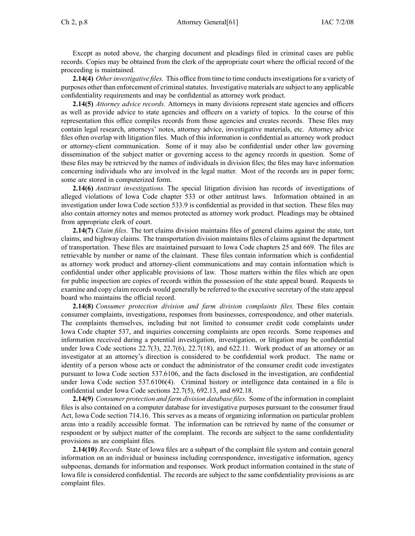Except as noted above, the charging document and pleadings filed in criminal cases are public records. Copies may be obtained from the clerk of the appropriate court where the official record of the proceeding is maintained.

**2.14(4)** *Otherinvestigative files.* This office from time to time conductsinvestigationsfor <sup>a</sup> variety of purposes other than enforcement of criminalstatutes. Investigative materials are subject to any applicable confidentiality requirements and may be confidential as attorney work product.

**2.14(5)** *Attorney advice records.* Attorneys in many divisions represen<sup>t</sup> state agencies and officers as well as provide advice to state agencies and officers on <sup>a</sup> variety of topics. In the course of this representation this office compiles records from those agencies and creates records. These files may contain legal research, attorneys' notes, attorney advice, investigative materials, etc. Attorney advice files often overlap with litigation files. Much of this information is confidential as attorney work product or attorney-client communication. Some of it may also be confidential under other law governing dissemination of the subject matter or governing access to the agency records in question. Some of these files may be retrieved by the names of individuals in division files; the files may have information concerning individuals who are involved in the legal matter. Most of the records are in paper form; some are stored in computerized form.

**2.14(6)** *Antitrust investigations.* The special litigation division has records of investigations of alleged violations of Iowa Code chapter 533 or other antitrust laws. Information obtained in an investigation under Iowa Code section 533.9 is confidential as provided in that section. These files may also contain attorney notes and memos protected as attorney work product. Pleadings may be obtained from appropriate clerk of court.

**2.14(7)** *Claim files.* The tort claims division maintains files of general claims against the state, tort claims, and highway claims. The transportation division maintains files of claims against the department of transportation. These files are maintained pursuan<sup>t</sup> to Iowa Code chapters 25 and 669. The files are retrievable by number or name of the claimant. These files contain information which is confidential as attorney work product and attorney-client communications and may contain information which is confidential under other applicable provisions of law. Those matters within the files which are open for public inspection are copies of records within the possession of the state appeal board. Requests to examine and copy claim records would generally be referred to the executive secretary of the state appeal board who maintains the official record.

**2.14(8)** *Consumer protection division and farm division complaints files.* These files contain consumer complaints, investigations, responses from businesses, correspondence, and other materials. The complaints themselves, including but not limited to consumer credit code complaints under Iowa Code chapter 537, and inquiries concerning complaints are open records. Some responses and information received during <sup>a</sup> potential investigation, investigation, or litigation may be confidential under Iowa Code sections  $22.7(3)$ ,  $22.7(6)$ ,  $22.7(18)$ , and  $622.11$ . Work product of an attorney or an investigator at an attorney's direction is considered to be confidential work product. The name or identity of <sup>a</sup> person whose acts or conduct the administrator of the consumer credit code investigates pursuan<sup>t</sup> to Iowa Code section 537.6106, and the facts disclosed in the investigation, are confidential under Iowa Code section 537.6106(4). Criminal history or intelligence data contained in <sup>a</sup> file is confidential under Iowa Code sections 22.7(5), 692.13, and 692.18.

**2.14(9)** *Consumer protection and farm division database files.* Some of the information in complaint files is also contained on <sup>a</sup> computer database for investigative purposes pursuan<sup>t</sup> to the consumer fraud Act, Iowa Code section 714.16. This serves as <sup>a</sup> means of organizing information on particular problem areas into <sup>a</sup> readily accessible format. The information can be retrieved by name of the consumer or respondent or by subject matter of the complaint. The records are subject to the same confidentiality provisions as are complaint files.

**2.14(10)** *Records.* State of Iowa files are <sup>a</sup> subpart of the complaint file system and contain general information on an individual or business including correspondence, investigative information, agency subpoenas, demands for information and responses. Work product information contained in the state of Iowa file is considered confidential. The records are subject to the same confidentiality provisions as are complaint files.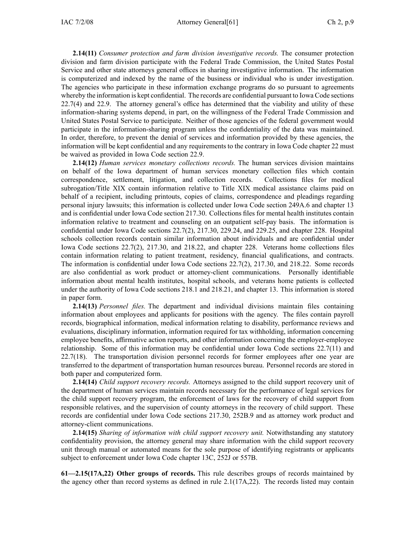**2.14(11)** *Consumer protection and farm division investigative records.* The consumer protection division and farm division participate with the Federal Trade Commission, the United States Postal Service and other state attorneys general offices in sharing investigative information. The information is computerized and indexed by the name of the business or individual who is under investigation. The agencies who participate in these information exchange programs do so pursuan<sup>t</sup> to agreements whereby the information is kept confidential. The records are confidential pursuan<sup>t</sup> to Iowa Code sections 22.7(4) and 22.9. The attorney general's office has determined that the viability and utility of these information-sharing systems depend, in part, on the willingness of the Federal Trade Commission and United States Postal Service to participate. Neither of those agencies of the federal governmen<sup>t</sup> would participate in the information-sharing program unless the confidentiality of the data was maintained. In order, therefore, to preven<sup>t</sup> the denial of services and information provided by these agencies, the information will be kept confidential and any requirements to the contrary in Iowa Code chapter 22 must be waived as provided in Iowa Code section 22.9.

**2.14(12)** *Human services monetary collections records.* The human services division maintains on behalf of the Iowa department of human services monetary collection files which contain correspondence, settlement, litigation, and collection records. Collections files for medical subrogation/Title XIX contain information relative to Title XIX medical assistance claims paid on behalf of <sup>a</sup> recipient, including printouts, copies of claims, correspondence and pleadings regarding personal injury lawsuits; this information is collected under Iowa Code section 249A.6 and chapter 13 and is confidential under Iowa Code section 217.30. Collections files for mental health institutes contain information relative to treatment and counseling on an outpatient self-pay basis. The information is confidential under Iowa Code sections 22.7(2), 217.30, 229.24, and 229.25, and chapter 228. Hospital schools collection records contain similar information about individuals and are confidential under Iowa Code sections 22.7(2), 217.30, and 218.22, and chapter 228. Veterans home collections files contain information relating to patient treatment, residency, financial qualifications, and contracts. The information is confidential under Iowa Code sections 22.7(2), 217.30, and 218.22. Some records are also confidential as work product or attorney-client communications. Personally identifiable information about mental health institutes, hospital schools, and veterans home patients is collected under the authority of Iowa Code sections 218.1 and 218.21, and chapter 13. This information is stored in paper form.

**2.14(13)** *Personnel files.* The department and individual divisions maintain files containing information about employees and applicants for positions with the agency. The files contain payroll records, biographical information, medical information relating to disability, performance reviews and evaluations, disciplinary information, information required for tax withholding, information concerning employee benefits, affirmative action reports, and other information concerning the employer-employee relationship. Some of this information may be confidential under Iowa Code sections 22.7(11) and 22.7(18). The transportation division personnel records for former employees after one year are transferred to the department of transportation human resources bureau. Personnel records are stored in both paper and computerized form.

**2.14(14)** *Child suppor<sup>t</sup> recovery records.* Attorneys assigned to the child suppor<sup>t</sup> recovery unit of the department of human services maintain records necessary for the performance of legal services for the child suppor<sup>t</sup> recovery program, the enforcement of laws for the recovery of child suppor<sup>t</sup> from responsible relatives, and the supervision of county attorneys in the recovery of child support. These records are confidential under Iowa Code sections 217.30, 252B.9 and as attorney work product and attorney-client communications.

**2.14(15)** *Sharing of information with child suppor<sup>t</sup> recovery unit.* Notwithstanding any statutory confidentiality provision, the attorney general may share information with the child suppor<sup>t</sup> recovery unit through manual or automated means for the sole purpose of identifying registrants or applicants subject to enforcement under Iowa Code chapter 13C, 252J or 557B.

**61—2.15(17A,22) Other groups of records.** This rule describes groups of records maintained by the agency other than record systems as defined in rule 2.1(17A,22). The records listed may contain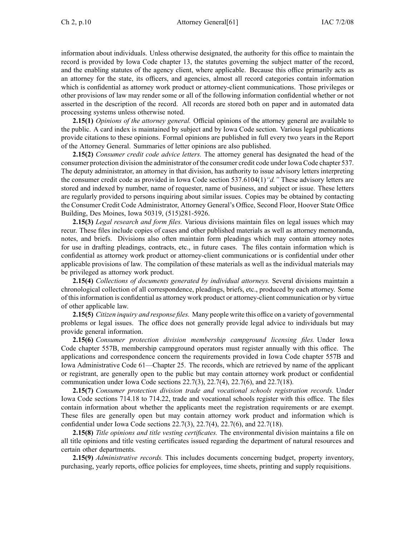information about individuals. Unless otherwise designated, the authority for this office to maintain the record is provided by Iowa Code chapter 13, the statutes governing the subject matter of the record, and the enabling statutes of the agency client, where applicable. Because this office primarily acts as an attorney for the state, its officers, and agencies, almost all record categories contain information which is confidential as attorney work product or attorney-client communications. Those privileges or other provisions of law may render some or all of the following information confidential whether or not asserted in the description of the record. All records are stored both on paper and in automated data processing systems unless otherwise noted.

**2.15(1)** *Opinions of the attorney general.* Official opinions of the attorney general are available to the public. A card index is maintained by subject and by Iowa Code section. Various legal publications provide citations to these opinions. Formal opinions are published in full every two years in the Report of the Attorney General. Summaries of letter opinions are also published.

**2.15(2)** *Consumer credit code advice letters.* The attorney general has designated the head of the consumer protection division the administrator of the consumer credit code under Iowa Code chapter 537. The deputy administrator, an attorney in that division, has authority to issue advisory letters interpreting the consumer credit code as provided in Iowa Code section 537.6104(1)*"d."* These advisory letters are stored and indexed by number, name of requester, name of business, and subject or issue. These letters are regularly provided to persons inquiring about similar issues. Copies may be obtained by contacting the Consumer Credit Code Administrator, Attorney General's Office, Second Floor, Hoover State Office Building, Des Moines, Iowa 50319, (515)281-5926.

**2.15(3)** *Legal research and form files.* Various divisions maintain files on legal issues which may recur. These files include copies of cases and other published materials as well as attorney memoranda, notes, and briefs. Divisions also often maintain form pleadings which may contain attorney notes for use in drafting pleadings, contracts, etc., in future cases. The files contain information which is confidential as attorney work product or attorney-client communications or is confidential under other applicable provisions of law. The compilation of these materials as well as the individual materials may be privileged as attorney work product.

**2.15(4)** *Collections of documents generated by individual attorneys.* Several divisions maintain <sup>a</sup> chronological collection of all correspondence, pleadings, briefs, etc., produced by each attorney. Some of thisinformation is confidential as attorney work product or attorney-client communication or by virtue of other applicable law.

**2.15(5)** *Citizen inquiry and response files.* Many people write this office on <sup>a</sup> variety of governmental problems or legal issues. The office does not generally provide legal advice to individuals but may provide general information.

**2.15(6)** *Consumer protection division membership campground licensing files.* Under Iowa Code chapter 557B, membership campground operators must register annually with this office. The applications and correspondence concern the requirements provided in Iowa Code chapter 557B and Iowa Administrative Code 61—Chapter 25. The records, which are retrieved by name of the applicant or registrant, are generally open to the public but may contain attorney work product or confidential communication under Iowa Code sections 22.7(3), 22.7(4), 22.7(6), and 22.7(18).

**2.15(7)** *Consumer protection division trade and vocational schools registration records.* Under Iowa Code sections 714.18 to 714.22, trade and vocational schools register with this office. The files contain information about whether the applicants meet the registration requirements or are exempt. These files are generally open but may contain attorney work product and information which is confidential under Iowa Code sections 22.7(3), 22.7(4), 22.7(6), and 22.7(18).

**2.15(8)** *Title opinions and title vesting certificates.* The environmental division maintains <sup>a</sup> file on all title opinions and title vesting certificates issued regarding the department of natural resources and certain other departments.

**2.15(9)** *Administrative records.* This includes documents concerning budget, property inventory, purchasing, yearly reports, office policies for employees, time sheets, printing and supply requisitions.